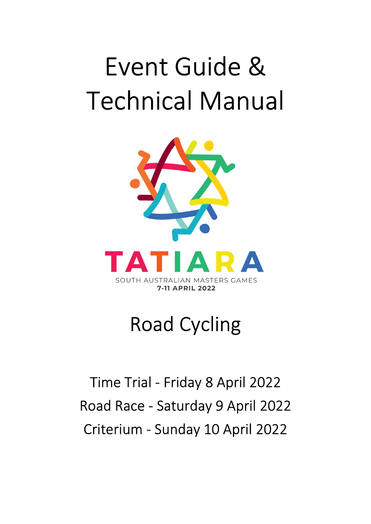# Event Guide & Technical Manual



## Road Cycling

## Time Trial - Friday 8 April 2022 Road Race - Saturday 9 April 2022 Criterium - Sunday 10 April 2022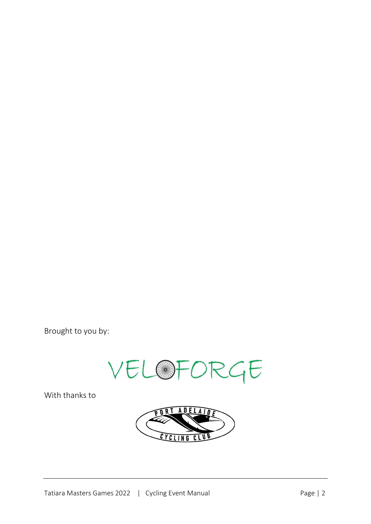Brought to you by:



With thanks to

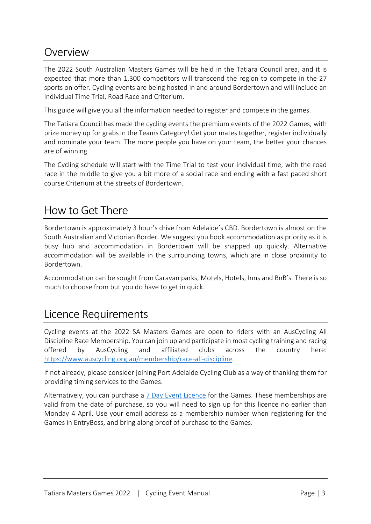### **Overview**

The 2022 South Australian Masters Games will be held in the Tatiara Council area, and it is expected that more than 1,300 competitors will transcend the region to compete in the 27 sports on offer. Cycling events are being hosted in and around Bordertown and will include an Individual Time Trial, Road Race and Criterium.

This guide will give you all the information needed to register and compete in the games.

The Tatiara Council has made the cycling events the premium events of the 2022 Games, with prize money up for grabs in the Teams Category! Get your mates together, register individually and nominate your team. The more people you have on your team, the better your chances are of winning.

The Cycling schedule will start with the Time Trial to test your individual time, with the road race in the middle to give you a bit more of a social race and ending with a fast paced short course Criterium at the streets of Bordertown.

## How to Get There

Bordertown is approximately 3 hour's drive from Adelaide's CBD. Bordertown is almost on the South Australian and Victorian Border. We suggest you book accommodation as priority as it is busy hub and accommodation in Bordertown will be snapped up quickly. Alternative accommodation will be available in the surrounding towns, which are in close proximity to Bordertown.

Accommodation can be sought from Caravan parks, Motels, Hotels, Inns and BnB's. There is so much to choose from but you do have to get in quick.

## Licence Requirements

Cycling events at the 2022 SA Masters Games are open to riders with an AusCycling All Discipline Race Membership. You can join up and participate in most cycling training and racing offered by AusCycling and affiliated clubs across the country here: https://www.auscycling.org.au/membership/race-all-discipline.

If not already, please consider joining Port Adelaide Cycling Club as a way of thanking them for providing timing services to the Games.

Alternatively, you can purchase a 7 Day Event Licence for the Games. These memberships are valid from the date of purchase, so you will need to sign up for this licence no earlier than Monday 4 April. Use your email address as a membership number when registering for the Games in EntryBoss, and bring along proof of purchase to the Games.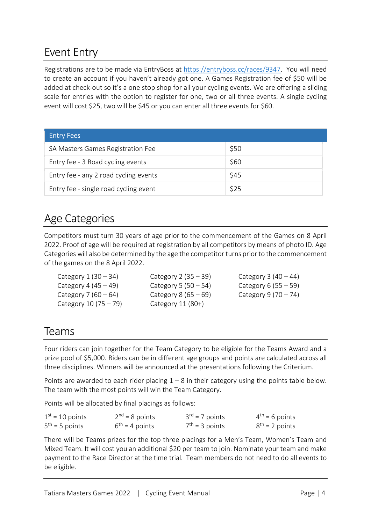## Event Entry

Registrations are to be made via EntryBoss at https://entryboss.cc/races/9347. You will need to create an account if you haven't already got one. A Games Registration fee of \$50 will be added at check-out so it's a one stop shop for all your cycling events. We are offering a sliding scale for entries with the option to register for one, two or all three events. A single cycling event will cost \$25, two will be \$45 or you can enter all three events for \$60.

| <b>Entry Fees</b>                     |      |
|---------------------------------------|------|
| SA Masters Games Registration Fee     | \$50 |
| Entry fee - 3 Road cycling events     | \$60 |
| Entry fee - any 2 road cycling events | \$45 |
| Entry fee - single road cycling event | \$25 |

## Age Categories

Competitors must turn 30 years of age prior to the commencement of the Games on 8 April 2022. Proof of age will be required at registration by all competitors by means of photo ID. Age Categories will also be determined by the age the competitor turns prior to the commencement of the games on the 8 April 2022.

| Category $1(30-34)$    | Category $2(35-39)$    | Category $3(40-44)$    |
|------------------------|------------------------|------------------------|
| Category 4 $(45 – 49)$ | Category 5 (50 – 54)   | Category 6 $(55 - 59)$ |
| Category 7 $(60 - 64)$ | Category 8 $(65 - 69)$ | Category $9(70 - 74)$  |
| Category $10(75-79)$   | Category 11 (80+)      |                        |

## Teams

Four riders can join together for the Team Category to be eligible for the Teams Award and a prize pool of \$5,000. Riders can be in different age groups and points are calculated across all three disciplines. Winners will be announced at the presentations following the Criterium.

Points are awarded to each rider placing  $1 - 8$  in their category using the points table below. The team with the most points will win the Team Category.

Points will be allocated by final placings as follows:

| $1st = 10$ points   | $2nd = 8$ points | $3^{rd}$ = 7 points | $4^{th} = 6$ points |
|---------------------|------------------|---------------------|---------------------|
| $5^{th}$ = 5 points | $6th = 4 points$ | $7th = 3$ points    | $8^{th}$ = 2 points |

There will be Teams prizes for the top three placings for a Men's Team, Women's Team and Mixed Team. It will cost you an additional \$20 per team to join. Nominate your team and make payment to the Race Director at the time trial. Team members do not need to do all events to be eligible.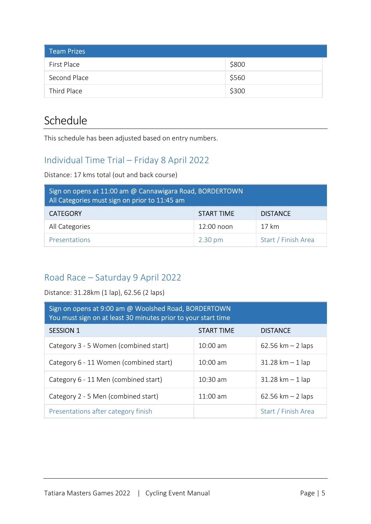| <b>Team Prizes</b> |       |
|--------------------|-------|
| First Place        | \$800 |
| Second Place       | \$560 |
| Third Place        | \$300 |

## **Schedule**

This schedule has been adjusted based on entry numbers.

#### Individual Time Trial – Friday 8 April 2022

Distance: 17 kms total (out and back course)

| Sign on opens at 11:00 am @ Cannawigara Road, BORDERTOWN<br>All Categories must sign on prior to 11:45 am |                   |                     |  |
|-----------------------------------------------------------------------------------------------------------|-------------------|---------------------|--|
| <b>CATEGORY</b>                                                                                           | START TIME        | <b>DISTANCE</b>     |  |
| All Categories                                                                                            | $12:00$ noon      | 17 km               |  |
| <b>Presentations</b>                                                                                      | $2.30 \text{ pm}$ | Start / Finish Area |  |

#### Road Race – Saturday 9 April 2022

Distance: 31.28km (1 lap), 62.56 (2 laps)

| Sign on opens at 9:00 am @ Woolshed Road, BORDERTOWN<br>You must sign on at least 30 minutes prior to your start time |                    |                                    |  |
|-----------------------------------------------------------------------------------------------------------------------|--------------------|------------------------------------|--|
| <b>SESSION 1</b>                                                                                                      | <b>START TIME</b>  | <b>DISTANCE</b>                    |  |
| Category 3 - 5 Women (combined start)                                                                                 | $10:00$ am         | 62.56 km $-$ 2 laps                |  |
| Category 6 - 11 Women (combined start)                                                                                | $10:00$ am         | $31.28 \text{ km} - 1 \text{ lap}$ |  |
| Category 6 - 11 Men (combined start)                                                                                  | $10:30 \text{ am}$ | $31.28 \text{ km} - 1 \text{ lap}$ |  |
| Category 2 - 5 Men (combined start)                                                                                   | $11:00$ am         | 62.56 km $-$ 2 laps                |  |
| Presentations after category finish                                                                                   |                    | Start / Finish Area                |  |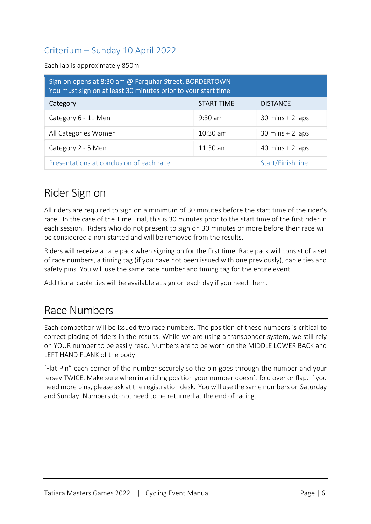#### Criterium – Sunday 10 April 2022

Each lap is approximately 850m

| Sign on opens at 8:30 am @ Farquhar Street, BORDERTOWN<br>You must sign on at least 30 minutes prior to your start time |                   |                                    |  |
|-------------------------------------------------------------------------------------------------------------------------|-------------------|------------------------------------|--|
| Category                                                                                                                | <b>START TIME</b> | <b>DISTANCE</b>                    |  |
| Category 6 - 11 Men                                                                                                     | $9:30$ am         | $30 \text{ mins} + 2 \text{ laps}$ |  |
| All Categories Women                                                                                                    | $10:30$ am        | $30 \text{ mins} + 2 \text{ laps}$ |  |
| Category 2 - 5 Men                                                                                                      | $11:30$ am        | 40 mins $+$ 2 laps                 |  |
| Presentations at conclusion of each race                                                                                |                   | Start/Finish line                  |  |

## Rider Sign on

All riders are required to sign on a minimum of 30 minutes before the start time of the rider's race. In the case of the Time Trial, this is 30 minutes prior to the start time of the first rider in each session. Riders who do not present to sign on 30 minutes or more before their race will be considered a non-started and will be removed from the results.

Riders will receive a race pack when signing on for the first time. Race pack will consist of a set of race numbers, a timing tag (if you have not been issued with one previously), cable ties and safety pins. You will use the same race number and timing tag for the entire event.

Additional cable ties will be available at sign on each day if you need them.

## Race Numbers

Each competitor will be issued two race numbers. The position of these numbers is critical to correct placing of riders in the results. While we are using a transponder system, we still rely on YOUR number to be easily read. Numbers are to be worn on the MIDDLE LOWER BACK and LEFT HAND FLANK of the body.

'Flat Pin" each corner of the number securely so the pin goes through the number and your jersey TWICE. Make sure when in a riding position your number doesn't fold over or flap. If you need more pins, please ask at the registration desk. You will use the same numbers on Saturday and Sunday. Numbers do not need to be returned at the end of racing.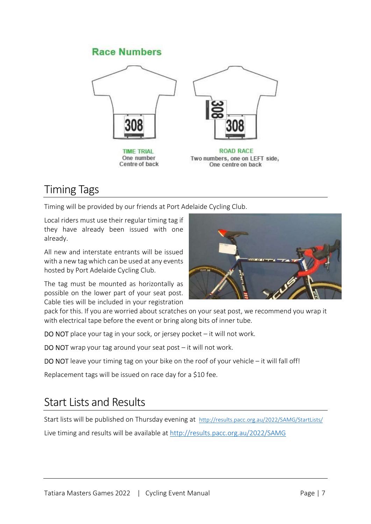#### **Race Numbers**





ROAD RACE Two numbers, one on LEFT side, One centre on back

## Timing Tags

Timing will be provided by our friends at Port Adelaide Cycling Club.

Centre of back

Local riders must use their regular timing tag if they have already been issued with one already.

All new and interstate entrants will be issued with a new tag which can be used at any events hosted by Port Adelaide Cycling Club.

The tag must be mounted as horizontally as possible on the lower part of your seat post. Cable ties will be included in your registration



pack for this. If you are worried about scratches on your seat post, we recommend you wrap it with electrical tape before the event or bring along bits of inner tube.

DO NOT place your tag in your sock, or jersey pocket – it will not work.

DO NOT wrap your tag around your seat post – it will not work.

DO NOT leave your timing tag on your bike on the roof of your vehicle  $-$  it will fall off!

Replacement tags will be issued on race day for a \$10 fee.

## Start Lists and Results

Start lists will be published on Thursday evening at http://results.pacc.org.au/2022/SAMG/StartLists/

Live timing and results will be available at http://results.pacc.org.au/2022/SAMG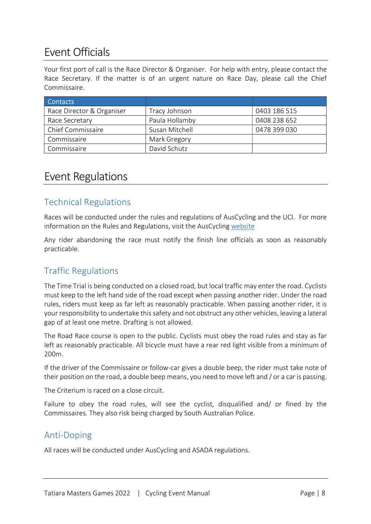## Event Officials

Your first port of call is the Race Director & Organiser. For help with entry, please contact the Race Secretary. If the matter is of an urgent nature on Race Day, please call the Chief Commissaire.

| <b>Contacts</b>           |                |              |
|---------------------------|----------------|--------------|
| Race Director & Organiser | Tracy Johnson  | 0403 186 515 |
| Race Secretary            | Paula Hollamby | 0408 238 652 |
| Chief Commissaire         | Susan Mitchell | 0478 399 030 |
| Commissaire               | Mark Gregory   |              |
| Commissaire               | David Schutz   |              |

## Event Regulations

#### Technical Regulations

Races will be conducted under the rules and regulations of AusCycling and the UCI. For more information on the Rules and Regulations, visit the AusCycling website

Any rider abandoning the race must notify the finish line officials as soon as reasonably practicable.

#### Traffic Regulations

The Time Trial is being conducted on a closed road, but local traffic may enter the road. Cyclists must keep to the left hand side of the road except when passing another rider. Under the road rules, riders must keep as far left as reasonably practicable. When passing another rider, it is your responsibility to undertake this safety and not obstruct any other vehicles, leaving a lateral gap of at least one metre. Drafting is not allowed.

The Road Race course is open to the public. Cyclists must obey the road rules and stay as far left as reasonably practicable. All bicycle must have a rear red light visible from a minimum of 200m.

If the driver of the Commissaire or follow-car gives a double beep, the rider must take note of their position on the road, a double beep means, you need to move left and / or a car is passing.

The Criterium is raced on a close circuit.

Failure to obey the road rules, will see the cyclist, disqualified and/ or fined by the Commissaires. They also risk being charged by South Australian Police.

#### Anti-Doping

All races will be conducted under AusCycling and ASADA regulations.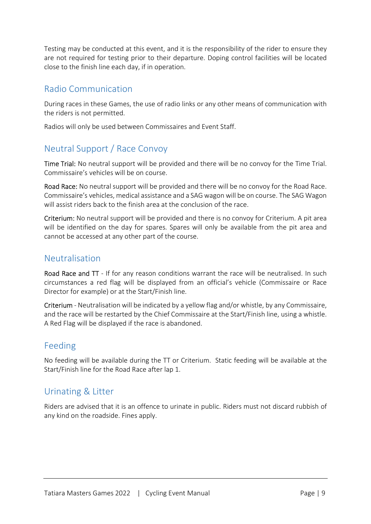Testing may be conducted at this event, and it is the responsibility of the rider to ensure they are not required for testing prior to their departure. Doping control facilities will be located close to the finish line each day, if in operation.

#### Radio Communication

During races in these Games, the use of radio links or any other means of communication with the riders is not permitted.

Radios will only be used between Commissaires and Event Staff.

#### Neutral Support / Race Convoy

Time Trial: No neutral support will be provided and there will be no convoy for the Time Trial. Commissaire's vehicles will be on course.

Road Race: No neutral support will be provided and there will be no convoy for the Road Race. Commissaire's vehicles, medical assistance and a SAG wagon will be on course. The SAG Wagon will assist riders back to the finish area at the conclusion of the race.

Criterium: No neutral support will be provided and there is no convoy for Criterium. A pit area will be identified on the day for spares. Spares will only be available from the pit area and cannot be accessed at any other part of the course.

#### Neutralisation

Road Race and  $TT$  - If for any reason conditions warrant the race will be neutralised. In such circumstances a red flag will be displayed from an official's vehicle (Commissaire or Race Director for example) or at the Start/Finish line.

Criterium - Neutralisation will be indicated by a yellow flag and/or whistle, by any Commissaire, and the race will be restarted by the Chief Commissaire at the Start/Finish line, using a whistle. A Red Flag will be displayed if the race is abandoned.

#### Feeding

No feeding will be available during the TT or Criterium. Static feeding will be available at the Start/Finish line for the Road Race after lap 1.

#### Urinating & Litter

Riders are advised that it is an offence to urinate in public. Riders must not discard rubbish of any kind on the roadside. Fines apply.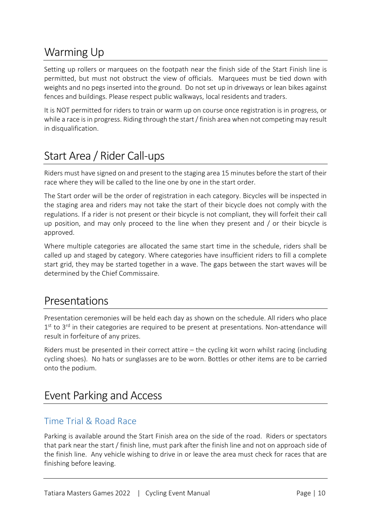## Warming Up

Setting up rollers or marquees on the footpath near the finish side of the Start Finish line is permitted, but must not obstruct the view of officials. Marquees must be tied down with weights and no pegs inserted into the ground. Do not set up in driveways or lean bikes against fences and buildings. Please respect public walkways, local residents and traders.

It is NOT permitted for riders to train or warm up on course once registration is in progress, or while a race is in progress. Riding through the start / finish area when not competing may result in disqualification.

## Start Area / Rider Call-ups

Riders must have signed on and present to the staging area 15 minutes before the start of their race where they will be called to the line one by one in the start order.

The Start order will be the order of registration in each category. Bicycles will be inspected in the staging area and riders may not take the start of their bicycle does not comply with the regulations. If a rider is not present or their bicycle is not compliant, they will forfeit their call up position, and may only proceed to the line when they present and / or their bicycle is approved.

Where multiple categories are allocated the same start time in the schedule, riders shall be called up and staged by category. Where categories have insufficient riders to fill a complete start grid, they may be started together in a wave. The gaps between the start waves will be determined by the Chief Commissaire.

### Presentations

Presentation ceremonies will be held each day as shown on the schedule. All riders who place 1<sup>st</sup> to 3<sup>rd</sup> in their categories are required to be present at presentations. Non-attendance will result in forfeiture of any prizes.

Riders must be presented in their correct attire – the cycling kit worn whilst racing (including cycling shoes). No hats or sunglasses are to be worn. Bottles or other items are to be carried onto the podium.

## Event Parking and Access

#### Time Trial & Road Race

Parking is available around the Start Finish area on the side of the road. Riders or spectators that park near the start / finish line, must park after the finish line and not on approach side of the finish line. Any vehicle wishing to drive in or leave the area must check for races that are finishing before leaving.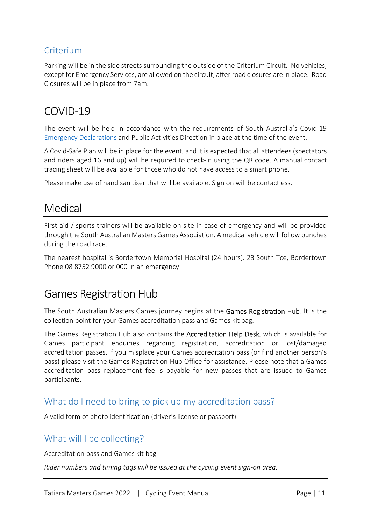#### Criterium

Parking will be in the side streets surrounding the outside of the Criterium Circuit. No vehicles, except for Emergency Services, are allowed on the circuit, after road closures are in place. Road Closures will be in place from 7am.

## COVID-19

The event will be held in accordance with the requirements of South Australia's Covid-19 Emergency Declarations and Public Activities Direction in place at the time of the event.

A Covid-Safe Plan will be in place for the event, and it is expected that all attendees (spectators and riders aged 16 and up) will be required to check-in using the QR code. A manual contact tracing sheet will be available for those who do not have access to a smart phone.

Please make use of hand sanitiser that will be available. Sign on will be contactless.

## Medical

First aid / sports trainers will be available on site in case of emergency and will be provided through the South Australian Masters Games Association. A medical vehicle will follow bunches during the road race.

The nearest hospital is Bordertown Memorial Hospital (24 hours). 23 South Tce, Bordertown Phone 08 8752 9000 or 000 in an emergency

## Games Registration Hub

The South Australian Masters Games journey begins at the Games Registration Hub. It is the collection point for your Games accreditation pass and Games kit bag.

The Games Registration Hub also contains the Accreditation Help Desk, which is available for Games participant enquiries regarding registration, accreditation or lost/damaged accreditation passes. If you misplace your Games accreditation pass (or find another person's pass) please visit the Games Registration Hub Office for assistance. Please note that a Games accreditation pass replacement fee is payable for new passes that are issued to Games participants.

#### What do I need to bring to pick up my accreditation pass?

A valid form of photo identification (driver's license or passport)

#### What will I be collecting?

Accreditation pass and Games kit bag

Rider numbers and timing tags will be issued at the cycling event sign-on area.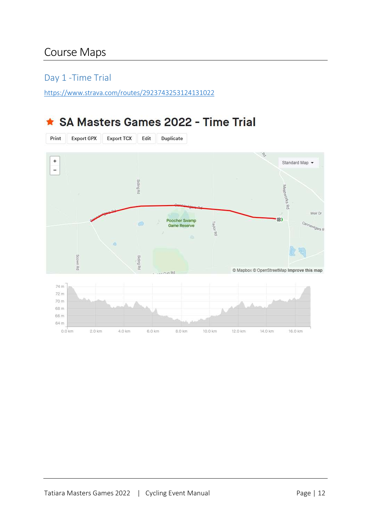## Course Maps

#### Day 1 -Time Trial

https://www.strava.com/routes/2923743253124131022

## ★ SA Masters Games 2022 - Time Trial

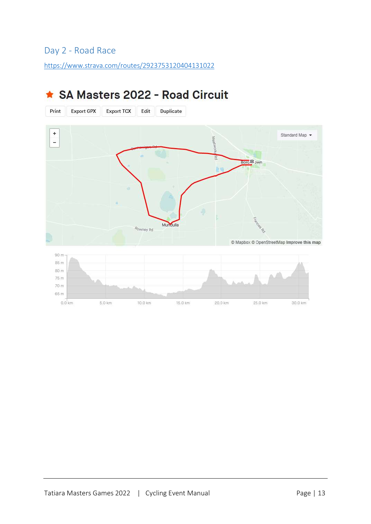#### Day 2 - Road Race

https://www.strava.com/routes/2923753120404131022



## ★ SA Masters 2022 - Road Circuit